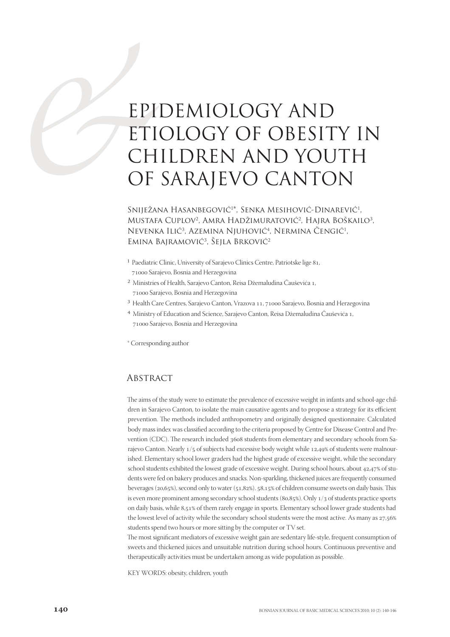# EPI<br>
ETI<br>
CH<br>
OF<br>
SNIJEŽAJ<br>
MUSTAE EPIDEMIOLOGY AND ETIOLOGY OF OBESITY IN CHILDREN AND YOUTH OF SARAJEVO CANTON

# Sniježana Hasanbegović<sup>1\*</sup>, Senka Mesihović-Dinarević<sup>1</sup>, Mustafa Cuplov<sup>2</sup>, Amra Hadžimuratović<sup>2</sup>, Hajra Boškailo<sup>3</sup>, Nevenka Ilić<sup>3</sup>, Azemina Njuhović<sup>4</sup>, Nermina Cengić<sup>1</sup>, Emina Bajramović<sup>3</sup>, Sejla Brković<sup>2</sup>

- <sup>1</sup> Paediatric Clinic, University of Sarajevo Clinics Centre, Patriotske lige 81, 71000 Sarajevo, Bosnia and Herzegovina
- <sup>2</sup> Ministries of Health, Sarajevo Canton, Reisa Džemaludina Čauševića 1, 71000 Sarajevo, Bosnia and Herzegovina
- $3$  Health Care Centres, Sarajevo Canton, Vrazova 11, 71000 Sarajevo, Bosnia and Herzegovina
- 4 Ministry of Education and Science, Sarajevo Canton, Reisa Džemaludina Čauševića ,
	- 71000 Sarajevo, Bosnia and Herzegovina
- \* Corresponding author

## **ABSTRACT**

The aims of the study were to estimate the prevalence of excessive weight in infants and school-age children in Sarajevo Canton, to isolate the main causative agents and to propose a strategy for its efficient prevention. The methods included anthropometry and originally designed questionnaire. Calculated body mass index was classified according to the criteria proposed by Centre for Disease Control and Prevention (CDC). The research included 3608 students from elementary and secondary schools from Sarajevo Canton. Nearly 1/5 of subjects had excessive body weight while 12,49% of students were malnourished. Elementary school lower graders had the highest grade of excessive weight, while the secondary school students exhibited the lowest grade of excessive weight. During school hours, about 42,47% of students were fed on bakery produces and snacks. Non-sparkling, thickened juices are frequently consumed beverages ( $20,65\%$ ), second only to water ( $51,82\%$ ).  $58,15\%$  of children consume sweets on daily basis. This is even more prominent among secondary school students (80,85%). Only 1/3 of students practice sports on daily basis, while 8,51% of them rarely engage in sports. Elementary school lower grade students had the lowest level of activity while the secondary school students were the most active. As many as  $27,56\%$ students spend two hours or more sitting by the computer or TV set.

The most significant mediators of excessive weight gain are sedentary life-style, frequent consumption of sweets and thickened juices and unsuitable nutrition during school hours. Continuous preventive and therapeutically activities must be undertaken among as wide population as possible.

KEY WORDS: obesity, children, youth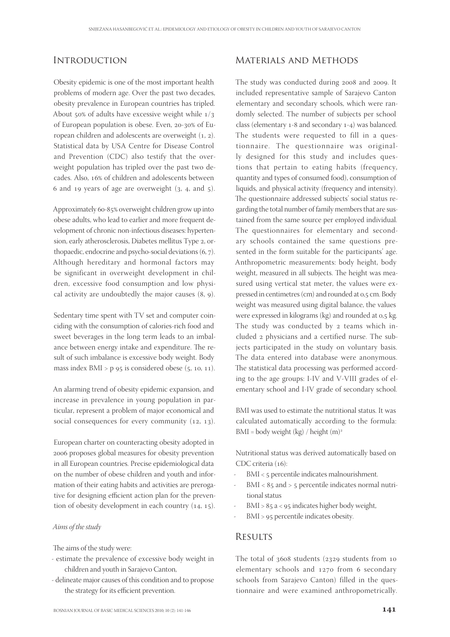## **INTRODUCTION**

Obesity epidemic is one of the most important health problems of modern age. Over the past two decades, obesity prevalence in European countries has tripled. About  $50\%$  of adults have excessive weight while  $1/3$ of European population is obese. Even, 20-30% of European children and adolescents are overweight  $(1, 2)$ . Statistical data by USA Centre for Disease Control and Prevention (CDC) also testify that the overweight population has tripled over the past two decades. Also, 16% of children and adolescents between 6 and 19 years of age are overweight  $(3, 4, 4)$ , and  $(5)$ .

Approximately 60-85% overweight children grow up into obese adults, who lead to earlier and more frequent development of chronic non-infectious diseases: hypertension, early atherosclerosis, Diabetes mellitus Type 2, orthopaedic, endocrine and psycho-social deviations  $(6, 7)$ . Although hereditary and hormonal factors may be significant in overweight development in children, excessive food consumption and low physical activity are undoubtedly the major causes  $(8, 9)$ .

Sedentary time spent with TV set and computer coinciding with the consumption of calories-rich food and sweet beverages in the long term leads to an imbalance between energy intake and expenditure. The result of such imbalance is excessive body weight. Body mass index  $BMI > p$  95 is considered obese (5, 10, 11).

An alarming trend of obesity epidemic expansion, and increase in prevalence in young population in particular, represent a problem of major economical and social consequences for every community  $(12, 13)$ .

European charter on counteracting obesity adopted in 2006 proposes global measures for obesity prevention in all European countries. Precise epidemiological data on the number of obese children and youth and information of their eating habits and activities are prerogative for designing efficient action plan for the prevention of obesity development in each country  $(14, 15)$ .

#### Aims of the study

The aims of the study were:

- estimate the prevalence of excessive body weight in children and youth in Sarajevo Canton,
- delineate major causes of this condition and to propose the strategy for its efficient prevention.

# Materials and Methods

The study was conducted during 2008 and 2009. It included representative sample of Sarajevo Canton elementary and secondary schools, which were randomly selected. The number of subjects per school class (elementary  $1-8$  and secondary  $1-4$ ) was balanced. The students were requested to fill in a questionnaire. The questionnaire was originally designed for this study and includes questions that pertain to eating habits (frequency, quantity and types of consumed food), consumption of liquids, and physical activity (frequency and intensity). The questionnaire addressed subjects' social status regarding the total number of family members that are sustained from the same source per employed individual. The questionnaires for elementary and secondary schools contained the same questions presented in the form suitable for the participants' age. Anthropometric measurements: body height, body weight, measured in all subjects. The height was measured using vertical stat meter, the values were expressed in centimetres (cm) and rounded at 0,5 cm. Body weight was measured using digital balance, the values were expressed in kilograms (kg) and rounded at  $0.5$  kg. The study was conducted by 2 teams which included physicians and a certified nurse. The subjects participated in the study on voluntary basis. The data entered into database were anonymous. The statistical data processing was performed according to the age groups: I-IV and V-VIII grades of elementary school and I-IV grade of secondary school.

BMI was used to estimate the nutritional status. It was calculated automatically according to the formula: BMI = body weight (kg) / height  $(m)^2$ 

Nutritional status was derived automatically based on  $CDC$  criteria  $(16)$ :

- BMI < 5 percentile indicates malnourishment.
- $BMI < 85$  and  $> 5$  percentile indicates normal nutritional status
- BMI > 85 a < 95 indicates higher body weight,
- BMI > 95 percentile indicates obesity.

#### **RESULTS**

The total of  $3608$  students  $(2329)$  students from 10 elementary schools and 1270 from 6 secondary schools from Sarajevo Canton) filled in the questionnaire and were examined anthropometrically.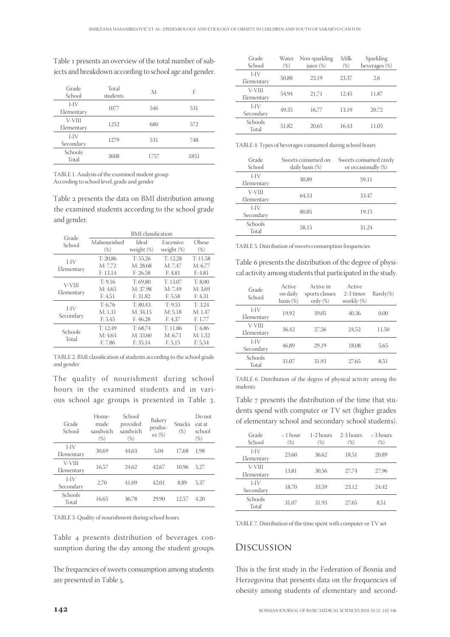Table 1 presents an overview of the total number of subjects and breakdown according to school age and gender.

| Grade<br>School      | Total<br>students | M    | F    |
|----------------------|-------------------|------|------|
| $I-IV$<br>Elementary | 1077              | 546  | 531  |
| V-VIII<br>Elementary | 1252              | 680  | 572  |
| $I-IV$<br>Secondary  | 1279              | 531  | 748  |
| Schools<br>Total     | 3608              | 1757 | 1851 |

TABLE 1. Analysis of the examined student group According to school level, grade and gender

Table 2 presents the data on BMI distribution among the examined students according to the school grade and gender.

| Grade                | <b>BMI</b> classification       |                                  |                                |                                |  |
|----------------------|---------------------------------|----------------------------------|--------------------------------|--------------------------------|--|
| School               | Malnourished<br>$(\%)$          | Ideal<br>weight (%)              | Excessive<br>weight (%)        | Obese<br>$(\%)$                |  |
| $I-IV$<br>Elementary | T: 20.86<br>M: 7.72<br>F: 13.14 | T: 55.26<br>M: 28.68<br>F: 26.58 | T: 12.28<br>M: 7.47<br>F: 4.81 | T: 11,58<br>M: 6.77<br>F: 4,81 |  |
| V-VIII<br>Elementary | T: 9.16<br>M: 4.65<br>F: 4.51   | T: 69.80<br>M: 37.98<br>F: 31.82 | T: 13.07<br>M: 7.49<br>F: 5,58 | T: 8.00<br>M: 3,69<br>F: 4,31  |  |
| $I-IV$<br>Secondary  | T: 6.76<br>M: 1.31<br>F: 5,45   | T: 80.43<br>M: 34.15<br>F: 46,28 | T: 9.55<br>M: 5.18<br>F: 4,37  | T: 3.24<br>M: 1.47<br>F: 1,77  |  |
| Schools<br>Total     | T: 12.49<br>M: 4.63<br>F: 7,86  | T: 68.74<br>M: 33.60<br>F: 35.14 | T: 11.86<br>M: 6.71<br>F: 5,15 | T: 6.86<br>M: 1.32<br>F: 5.54  |  |

TABLE 2. BMI classification of students according to the school grade and gender

The quality of nourishment during school hours in the examined students and in various school age groups is presented in Table 3.

| Grade<br>School      | Home-<br>made<br>sandwich<br>$(\%)$ | School<br>provided<br>sandwich<br>$(\%)$ | Bakery<br>produc-<br>$es (\%)$ | Snacks<br>$(\%)$ | Do not<br>eat at<br>school<br>$(\%)$ |
|----------------------|-------------------------------------|------------------------------------------|--------------------------------|------------------|--------------------------------------|
| $I-IV$<br>Elementary | 30.69                               | 44.63                                    | 5.04                           | 17.68            | 1.98                                 |
| V-VIII<br>Elementary | 16.57                               | 24.62                                    | 42.67                          | 10.96            | 5.27                                 |
| $I-IV$<br>Secondary  | 2.70                                | 41.09                                    | 42.01                          | 8.89             | 5.37                                 |
| Schools<br>Total     | 16.65                               | 36.78                                    | 29.90                          | 12.57            | 4.20                                 |

TABLE 3. Quality of nourishment during school hours

Table 4 presents distribution of beverages consumption during the day among the student groups.

The frequencies of sweets consumption among students are presented in Table 5.

| Grade      | Water  | Non-sparkling | Milk   | Sparkling     |
|------------|--------|---------------|--------|---------------|
| School     | $(\%)$ | juice (%)     | $(\%)$ | beverages (%) |
| $I-IV$     | 50,88  | 23.19         | 23.37  | 2.6           |
| Elementary |        |               |        |               |
| V-VIII     | 54.94  | 21.71         | 12.45  | 11,87         |
| Elementary |        |               |        |               |
| $I-IV$     |        | 16.77         | 13.19  | 20.72         |
| Secondary  | 49.35  |               |        |               |
| Schools    |        |               |        |               |
| Total      | 51,82  | 20.65         | 16.43  | 11,05         |

TABLE 4. Types of beverages consumed during school hours

| Grade<br>School      | Sweets consumed on<br>daily basis (%) | Sweets consumed rarely<br>or occasionally (%) |
|----------------------|---------------------------------------|-----------------------------------------------|
| $I-IV$<br>Elementary | 30,89                                 | 59,11                                         |
| V-VIII<br>Elementary | 64.53                                 | 33,47                                         |
| $I-IV$<br>Secondary  | 80.85                                 | 19,15                                         |
| Schools<br>Total     | 58,15                                 | 31.24                                         |

TABLE 5. Distribution of sweets consumption frequencies

Table 6 presents the distribution of the degree of physical activity among students that participated in the study.

| Grade<br>School      | Active<br>on daily<br>basis $(\%)$ | Active in<br>sports classes<br>only $(\%)$ | Active<br>2-3 times<br>weekly (%) | $Rarely(\%)$ |
|----------------------|------------------------------------|--------------------------------------------|-----------------------------------|--------------|
| I-IV<br>Elementary   | 19.92                              | 39.05                                      | 40.36                             | 0.00         |
| V-VIII<br>Elementary | 36.42                              | 27.56                                      | 24.52                             | 11,50        |
| $I-IV$<br>Secondary  | 46.89                              | 29.19                                      | 18.08                             | 5,65         |
| Schools<br>Total     | 31,07                              | 31.93                                      | 27.65                             | 8,51         |

TABLE 6. Distribution of the degree of physical activity among the students

Table 7 presents the distribution of the time that students spend with computer or TV set (higher grades of elementary school and secondary school students).

| Grade<br>School      | $\langle$ 1 hour<br>'%) | 1-2 hours<br>$(\%)$ | 2-3 hours<br>$(\%)$ | > 3 hours<br>$(\%)$ |
|----------------------|-------------------------|---------------------|---------------------|---------------------|
| I-IV<br>Elementary   | 23.60                   | 36.62               | 18,51               | 20,89               |
| V-VIII<br>Elementary | 13.81                   | 30.56               | 27.74               | 27.96               |
| LIV<br>Secondary     | 18.70                   | 33.59               | 23.12               | 24.42               |
| Schools<br>Total     | 31.07                   | 31.93               | 27.65               | 8.51                |

TABLE 7. Distribution of the time spent with computer or TV set

#### Discussion

This is the first study in the Federation of Bosnia and Herzegovina that presents data on the frequencies of obesity among students of elementary and second-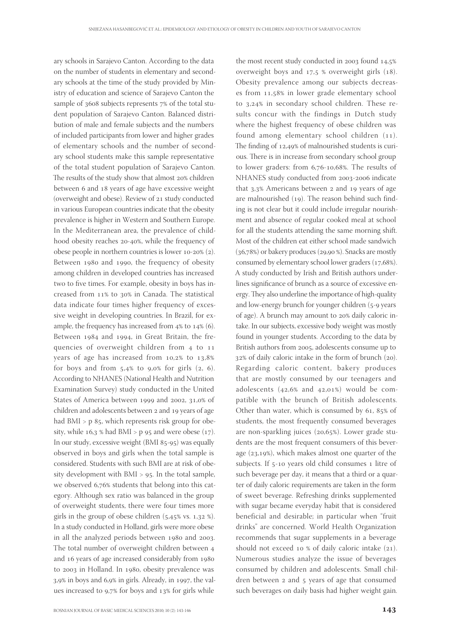ary schools in Sarajevo Canton. According to the data on the number of students in elementary and secondary schools at the time of the study provided by Ministry of education and science of Sarajevo Canton the sample of  $3608$  subjects represents  $7\%$  of the total student population of Sarajevo Canton. Balanced distribution of male and female subjects and the numbers of included participants from lower and higher grades of elementary schools and the number of secondary school students make this sample representative of the total student population of Sarajevo Canton. The results of the study show that almost 20% children between 6 and 18 years of age have excessive weight (overweight and obese). Review of 21 study conducted in various European countries indicate that the obesity prevalence is higher in Western and Southern Europe. In the Mediterranean area, the prevalence of childhood obesity reaches 20-40%, while the frequency of obese people in northern countries is lower  $10-20\%$   $(2)$ . Between 1980 and 1990, the frequency of obesity among children in developed countries has increased two to five times. For example, obesity in boys has increased from 11% to 30% in Canada. The statistical data indicate four times higher frequency of excessive weight in developing countries. In Brazil, for example, the frequency has increased from  $4\%$  to  $14\%$  (6). Between 1984 and 1994, in Great Britain, the frequencies of overweight children from 4 to 11 years of age has increased from  $10,2\%$  to  $13,8\%$ for boys and from  $5,4\%$  to 9,0% for girls  $(2, 6)$ . According to NHANES (National Health and Nutrition Examination Survey) study conducted in the United States of America between 1999 and 2002, 31,0% of children and adolescents between 2 and 19 years of age had  $BMI > p$  85, which represents risk group for obesity, while  $16.3$  % had BMI > p  $95$  and were obese  $(17)$ . In our study, excessive weight (BMI 85-95) was equally observed in boys and girls when the total sample is considered. Students with such BMI are at risk of obesity development with  $BMI > 95$ . In the total sample, we observed  $6,76\%$  students that belong into this category. Although sex ratio was balanced in the group of overweight students, there were four times more girls in the group of obese children  $(5,45\% \text{ vs. } 1,32\%).$ In a study conducted in Holland, girls were more obese in all the analyzed periods between 1980 and 2003. The total number of overweight children between and 16 years of age increased considerably from 1980 to 2003 in Holland. In 1980, obesity prevalence was  $3.9\%$  in boys and 6,9% in girls. Already, in 1997, the values increased to  $9.7\%$  for boys and  $13\%$  for girls while

the most recent study conducted in  $2003$  found  $14.5\%$ overweight boys and  $17.5$  % overweight girls (18). Obesity prevalence among our subjects decreases from 11,58% in lower grade elementary school to 3,24% in secondary school children. These results concur with the findings in Dutch study where the highest frequency of obese children was found among elementary school children  $(11)$ . The finding of  $12,49\%$  of malnourished students is curious. There is in increase from secondary school group to lower graders: from  $6,76-10,68\%$ . The results of NHANES study conducted from 2003-2006 indicate that  $3.3\%$  Americans between 2 and 19 years of age are malnourished  $(19)$ . The reason behind such finding is not clear but it could include irregular nourishment and absence of regular cooked meal at school for all the students attending the same morning shift. Most of the children eat either school made sandwich  $(36,78%)$  or bakery produces  $(29,90%)$ . Snacks are mostly consumed by elementary school lower graders  $(17,68\%)$ . A study conducted by Irish and British authors underlines significance of brunch as a source of excessive energy. They also underline the importance of high-quality and low-energy brunch for younger children (5-9 years of age). A brunch may amount to 20% daily caloric intake. In our subjects, excessive body weight was mostly found in younger students. According to the data by British authors from 2005, adolescents consume up to  $32\%$  of daily caloric intake in the form of brunch (20). Regarding caloric content, bakery produces that are mostly consumed by our teenagers and adolescents  $(42, 6%$  and  $42, 01%)$  would be compatible with the brunch of British adolescents. Other than water, which is consumed by  $61$ ,  $85\%$  of students, the most frequently consumed beverages are non-sparkling juices (20,65%). Lower grade students are the most frequent consumers of this beverage  $(23,19%)$ , which makes almost one quarter of the subjects. If 5-10 years old child consumes 1 litre of such beverage per day, it means that a third or a quarter of daily caloric requirements are taken in the form of sweet beverage. Refreshing drinks supplemented with sugar became everyday habit that is considered beneficial and desirable; in particular when "fruit drinks" are concerned. World Health Organization recommends that sugar supplements in a beverage should not exceed 10 % of daily caloric intake  $(21)$ . Numerous studies analyze the issue of beverages consumed by children and adolescents. Small children between 2 and 5 years of age that consumed such beverages on daily basis had higher weight gain.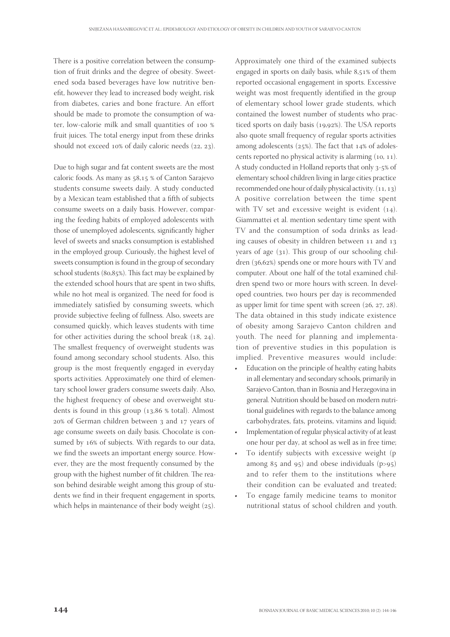There is a positive correlation between the consumption of fruit drinks and the degree of obesity. Sweetened soda based beverages have low nutritive benefit, however they lead to increased body weight, risk from diabetes, caries and bone fracture. An effort should be made to promote the consumption of water, low-calorie milk and small quantities of fruit juices. The total energy input from these drinks should not exceed  $10\%$  of daily caloric needs  $(22, 23)$ .

Due to high sugar and fat content sweets are the most caloric foods. As many as 58,15 % of Canton Sarajevo students consume sweets daily. A study conducted by a Mexican team established that a fifth of subjects consume sweets on a daily basis. However, comparing the feeding habits of employed adolescents with those of unemployed adolescents, significantly higher level of sweets and snacks consumption is established in the employed group. Curiously, the highest level of sweets consumption is found in the group of secondary school students  $(80.85%)$ . This fact may be explained by the extended school hours that are spent in two shifts, while no hot meal is organized. The need for food is immediately satisfied by consuming sweets, which provide subjective feeling of fullness. Also, sweets are consumed quickly, which leaves students with time for other activities during the school break  $(18, 24)$ . The smallest frequency of overweight students was found among secondary school students. Also, this group is the most frequently engaged in everyday sports activities. Approximately one third of elementary school lower graders consume sweets daily. Also, the highest frequency of obese and overweight students is found in this group  $(13, 86 %$  total). Almost 20% of German children between 3 and 17 years of age consume sweets on daily basis. Chocolate is consumed by 16% of subjects. With regards to our data, we find the sweets an important energy source. However, they are the most frequently consumed by the group with the highest number of fit children. The reason behind desirable weight among this group of students we find in their frequent engagement in sports, which helps in maintenance of their body weight  $(25)$ .

Approximately one third of the examined subjects engaged in sports on daily basis, while  $8,51\%$  of them reported occasional engagement in sports. Excessive weight was most frequently identified in the group of elementary school lower grade students, which contained the lowest number of students who practiced sports on daily basis  $(19,92%)$ . The USA reports also quote small frequency of regular sports activities among adolescents  $(25%)$ . The fact that  $14%$  of adolescents reported no physical activity is alarming  $(10, 11)$ . A study conducted in Holland reports that only 3-5% of elementary school children living in large cities practice recommended one hour of daily physical activity.  $(11, 13)$ A positive correlation between the time spent with TV set and excessive weight is evident  $(14)$ . Giammattei et al. mention sedentary time spent with TV and the consumption of soda drinks as leading causes of obesity in children between 11 and 13 years of age  $(31)$ . This group of our schooling children  $(36,62%)$  spends one or more hours with TV and computer. About one half of the total examined children spend two or more hours with screen. In developed countries, two hours per day is recommended as upper limit for time spent with screen  $(26, 27, 28)$ . The data obtained in this study indicate existence of obesity among Sarajevo Canton children and youth. The need for planning and implementation of preventive studies in this population is implied. Preventive measures would include:

- Education on the principle of healthy eating habits in all elementary and secondary schools, primarily in Sarajevo Canton, than in Bosnia and Herzegovina in general. Nutrition should be based on modern nutritional guidelines with regards to the balance among carbohydrates, fats, proteins, vitamins and liquid;
- Implementation of regular physical activity of at least one hour per day, at school as well as in free time;
- To identify subjects with excessive weight (p among  $85$  and  $95$ ) and obese individuals (p>95) and to refer them to the institutions where their condition can be evaluated and treated;
- To engage family medicine teams to monitor nutritional status of school children and youth.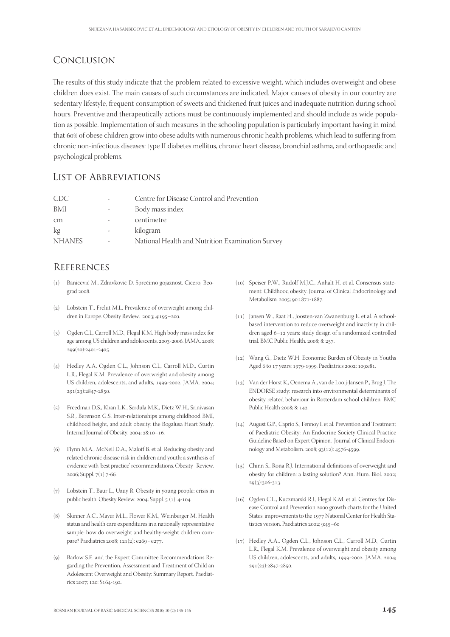# Conclusion

The results of this study indicate that the problem related to excessive weight, which includes overweight and obese children does exist. The main causes of such circumstances are indicated. Major causes of obesity in our country are sedentary lifestyle, frequent consumption of sweets and thickened fruit juices and inadequate nutrition during school hours. Preventive and therapeutically actions must be continuously implemented and should include as wide population as possible. Implementation of such measures in the schooling population is particularly important having in mind that 60% of obese children grow into obese adults with numerous chronic health problems, which lead to suffering from chronic non-infectious diseases: type II diabetes mellitus, chronic heart disease, bronchial asthma, and orthopaedic and psychological problems.

# List of Abbreviations

| CDC           |   | Centre for Disease Control and Prevention        |
|---------------|---|--------------------------------------------------|
| BMI           | ۰ | Body mass index                                  |
| cm            |   | centimetre                                       |
| kg            | - | kilogram                                         |
| <b>NHANES</b> | ۰ | National Health and Nutrition Examination Survey |

# **REFERENCES**

- () Banićević M., Zdravković D. Sprečimo gojaznost. Cicero, Beograd 2008
- (2) Lobstein T., Frelut M.L. Prevalence of overweight among children in Europe. Obesity Review. 2003; 4:195-200.
- () Ogden C.L, Carroll M.D., Flegal K.M. High body mass index for age among US children and adolescents, 2003-2006. JAMA. 2008; 299(20):2401-2405.
- () Hedley A.A, Ogden C.L., Johnson C.L, Carroll M.D., Curtin L.R., Flegal K.M. Prevalence of overweight and obesity among US children, adolescents, and adults, 1999-2002. JAMA. 2004; 291(23):2847-2850.
- () Freedman D.S., Khan L.K., Serdula M.K., Dietz W.H., Srinivasan S.R., Berenson G.S. Inter-relationships among childhood BMI, childhood height, and adult obesity: the Bogalusa Heart Study. Internal Journal of Obesity. 2004; 28:10-16.
- () Flynn M.A., McNeil D.A., Maloff B. et al. Reducing obesity and related chronic disease risk in children and youth: a synthesis of evidence with 'best practice' recommendations. Obesity Review. 2006; Suppl. 7(1):7-66.
- () Lobstein T., Baur L., Uauy R. Obesity in young people: crisis in public health. Obesity Review. 2004; Suppl.  $5(1)$ : 4-104.
- (8) Skinner A.C., Mayer M.L., Flower K.M., Weinberger M. Health status and health care expenditures in a nationally representative sample: how do overweight and healthy-weight children compare? Paediatrics 2008; 121(2): e269 - e277.
- (9) Barlow S.E. and the Expert Committee Recommendations Regarding the Prevention, Assessment and Treatment of Child an Adolescent Overweight and Obesity: Summary Report. Paediatrics 2007; 120: S164-192.
- (10) Speiser P.W., Rudolf M.J.C., Anhalt H. et al. Consensus statement: Childhood obesity. Journal of Clinical Endocrinology and Metabolism. 2005; 90:1871-1887.
- (11) Jansen W., Raat H., Joosten-van Zwanenburg E. et al. A schoolbased intervention to reduce overweight and inactivity in children aged 6-12 years: study design of a randomized controlled trial. BMC Public Health. 2008; 8: 257.
- () Wang G., Dietz W.H. Economic Burden of Obesity in Youths Aged 6 to 17 years: 1979-1999. Paediatrics 2002; 109:e81.
- $(13)$  Van der Horst K., Oenema A., van de Looij-Jansen P., Brug J. The ENDORSE study: research into environmental determinants of obesity related behaviour in Rotterdam school children. BMC Public Health 2008; 8: 142.
- () August G.P., Caprio S., Fennoy I. et al. Prevention and Treatment of Paediatric Obesity: An Endocrine Society Clinical Practice Guideline Based on Expert Opinion. Journal of Clinical Endocrinology and Metabolism. 2008; 93(12): 4576-4599.
- $(15)$  Chinn S., Rona R.J. International definitions of overweight and obesity for children: a lasting solution? Ann. Hum. Biol. 2002; 29(3):306-313.
- () Ogden C.L., Kuczmarski R.J., Flegal K.M. et al. Centres for Disease Control and Prevention 2000 growth charts for the United States: improvements to the 1977 National Center for Health Statistics version. Paediatrics 2002; 9:45-60
- (17) Hedley A.A., Ogden C.L., Johnson C.L., Carroll M.D., Curtin L.R., Flegal K.M. Prevalence of overweight and obesity among US children, adolescents, and adults, 1999-2002. JAMA. 2004; 291(23):2847-2850.